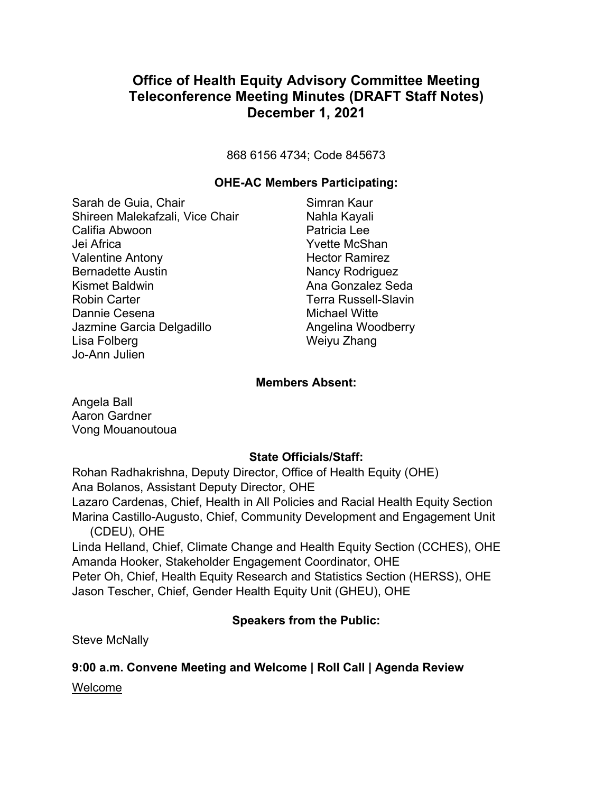868 6156 4734; Code 845673

#### **OHE-AC Members Participating:**

Sarah de Guia, Chair Shireen Malekafzali, Vice Chair Califia Abwoon Jei Africa Valentine Antony Bernadette Austin Kismet Baldwin Robin Carter Dannie Cesena Jazmine Garcia Delgadillo Lisa Folberg Jo-Ann Julien

Simran Kaur Nahla Kayali Patricia Lee Yvette McShan Hector Ramirez Nancy Rodriguez Ana Gonzalez Seda Terra Russell-Slavin Michael Witte Angelina Woodberry Weiyu Zhang

#### **Members Absent:**

Angela Ball Aaron Gardner Vong Mouanoutoua

#### **State Officials/Staff:**

Rohan Radhakrishna, Deputy Director, Office of Health Equity (OHE) Ana Bolanos, Assistant Deputy Director, OHE Lazaro Cardenas, Chief, Health in All Policies and Racial Health Equity Section Marina Castillo-Augusto, Chief, Community Development and Engagement Unit (CDEU), OHE Linda Helland, Chief, Climate Change and Health Equity Section (CCHES), OHE Amanda Hooker, Stakeholder Engagement Coordinator, OHE Peter Oh, Chief, Health Equity Research and Statistics Section (HERSS), OHE Jason Tescher, Chief, Gender Health Equity Unit (GHEU), OHE

#### **Speakers from the Public:**

Steve McNally

#### **9:00 a.m. Convene Meeting and Welcome | Roll Call | Agenda Review**

Welcome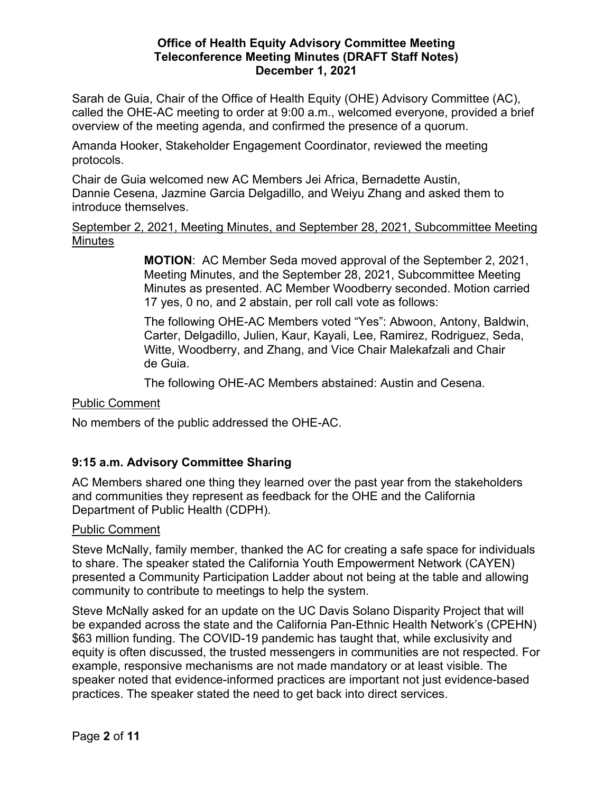Sarah de Guia, Chair of the Office of Health Equity (OHE) Advisory Committee (AC), called the OHE-AC meeting to order at 9:00 a.m., welcomed everyone, provided a brief overview of the meeting agenda, and confirmed the presence of a quorum.

Amanda Hooker, Stakeholder Engagement Coordinator, reviewed the meeting protocols.

Chair de Guia welcomed new AC Members Jei Africa, Bernadette Austin, Dannie Cesena, Jazmine Garcia Delgadillo, and Weiyu Zhang and asked them to introduce themselves.

#### September 2, 2021, Meeting Minutes, and September 28, 2021, Subcommittee Meeting **Minutes**

**MOTION**: AC Member Seda moved approval of the September 2, 2021, Meeting Minutes, and the September 28, 2021, Subcommittee Meeting Minutes as presented. AC Member Woodberry seconded. Motion carried 17 yes, 0 no, and 2 abstain, per roll call vote as follows:

The following OHE-AC Members voted "Yes": Abwoon, Antony, Baldwin, Carter, Delgadillo, Julien, Kaur, Kayali, Lee, Ramirez, Rodriguez, Seda, Witte, Woodberry, and Zhang, and Vice Chair Malekafzali and Chair de Guia.

The following OHE-AC Members abstained: Austin and Cesena.

Public Comment

No members of the public addressed the OHE-AC.

## **9:15 a.m. Advisory Committee Sharing**

AC Members shared one thing they learned over the past year from the stakeholders and communities they represent as feedback for the OHE and the California Department of Public Health (CDPH).

## Public Comment

Steve McNally, family member, thanked the AC for creating a safe space for individuals to share. The speaker stated the California Youth Empowerment Network (CAYEN) presented a Community Participation Ladder about not being at the table and allowing community to contribute to meetings to help the system.

Steve McNally asked for an update on the UC Davis Solano Disparity Project that will be expanded across the state and the California Pan-Ethnic Health Network's (CPEHN) \$63 million funding. The COVID-19 pandemic has taught that, while exclusivity and equity is often discussed, the trusted messengers in communities are not respected. For example, responsive mechanisms are not made mandatory or at least visible. The speaker noted that evidence-informed practices are important not just evidence-based practices. The speaker stated the need to get back into direct services.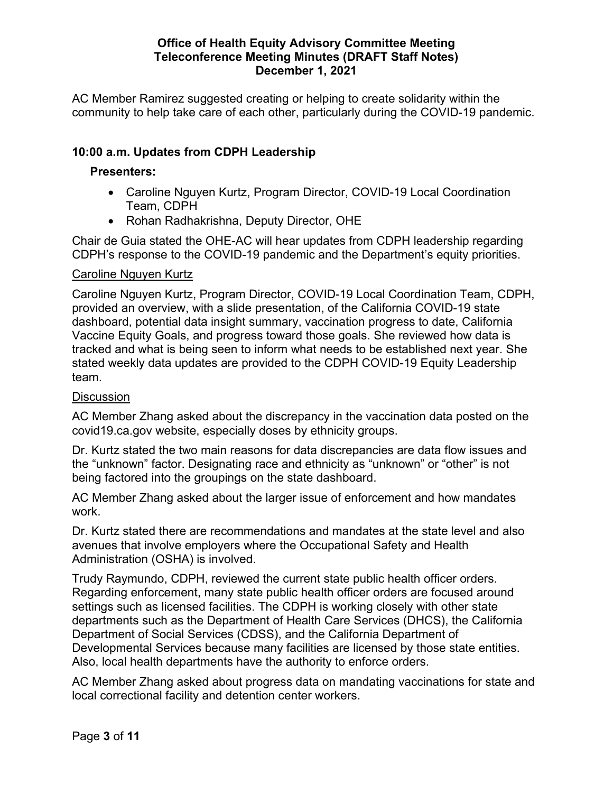AC Member Ramirez suggested creating or helping to create solidarity within the community to help take care of each other, particularly during the COVID-19 pandemic.

## **10:00 a.m. Updates from CDPH Leadership**

## **Presenters:**

- Caroline Nguyen Kurtz, Program Director, COVID-19 Local Coordination Team, CDPH
- Rohan Radhakrishna, Deputy Director, OHE

Chair de Guia stated the OHE-AC will hear updates from CDPH leadership regarding CDPH's response to the COVID-19 pandemic and the Department's equity priorities.

#### Caroline Nguyen Kurtz

Caroline Nguyen Kurtz, Program Director, COVID-19 Local Coordination Team, CDPH, provided an overview, with a slide presentation, of the California COVID-19 state dashboard, potential data insight summary, vaccination progress to date, California Vaccine Equity Goals, and progress toward those goals. She reviewed how data is tracked and what is being seen to inform what needs to be established next year. She stated weekly data updates are provided to the CDPH COVID-19 Equity Leadership team.

#### **Discussion**

AC Member Zhang asked about the discrepancy in the vaccination data posted on the covid19.ca.gov website, especially doses by ethnicity groups.

Dr. Kurtz stated the two main reasons for data discrepancies are data flow issues and the "unknown" factor. Designating race and ethnicity as "unknown" or "other" is not being factored into the groupings on the state dashboard.

AC Member Zhang asked about the larger issue of enforcement and how mandates work.

Dr. Kurtz stated there are recommendations and mandates at the state level and also avenues that involve employers where the Occupational Safety and Health Administration (OSHA) is involved.

Trudy Raymundo, CDPH, reviewed the current state public health officer orders. Regarding enforcement, many state public health officer orders are focused around settings such as licensed facilities. The CDPH is working closely with other state departments such as the Department of Health Care Services (DHCS), the California Department of Social Services (CDSS), and the California Department of Developmental Services because many facilities are licensed by those state entities. Also, local health departments have the authority to enforce orders.

AC Member Zhang asked about progress data on mandating vaccinations for state and local correctional facility and detention center workers.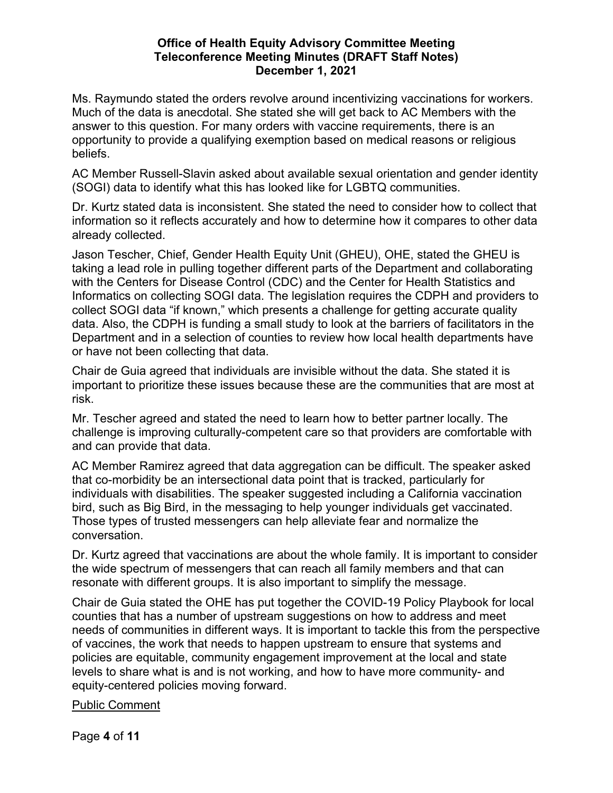Ms. Raymundo stated the orders revolve around incentivizing vaccinations for workers. Much of the data is anecdotal. She stated she will get back to AC Members with the answer to this question. For many orders with vaccine requirements, there is an opportunity to provide a qualifying exemption based on medical reasons or religious beliefs.

AC Member Russell-Slavin asked about available sexual orientation and gender identity (SOGI) data to identify what this has looked like for LGBTQ communities.

Dr. Kurtz stated data is inconsistent. She stated the need to consider how to collect that information so it reflects accurately and how to determine how it compares to other data already collected.

Jason Tescher, Chief, Gender Health Equity Unit (GHEU), OHE, stated the GHEU is taking a lead role in pulling together different parts of the Department and collaborating with the Centers for Disease Control (CDC) and the Center for Health Statistics and Informatics on collecting SOGI data. The legislation requires the CDPH and providers to collect SOGI data "if known," which presents a challenge for getting accurate quality data. Also, the CDPH is funding a small study to look at the barriers of facilitators in the Department and in a selection of counties to review how local health departments have or have not been collecting that data.

Chair de Guia agreed that individuals are invisible without the data. She stated it is important to prioritize these issues because these are the communities that are most at risk.

Mr. Tescher agreed and stated the need to learn how to better partner locally. The challenge is improving culturally-competent care so that providers are comfortable with and can provide that data.

AC Member Ramirez agreed that data aggregation can be difficult. The speaker asked that co-morbidity be an intersectional data point that is tracked, particularly for individuals with disabilities. The speaker suggested including a California vaccination bird, such as Big Bird, in the messaging to help younger individuals get vaccinated. Those types of trusted messengers can help alleviate fear and normalize the conversation.

Dr. Kurtz agreed that vaccinations are about the whole family. It is important to consider the wide spectrum of messengers that can reach all family members and that can resonate with different groups. It is also important to simplify the message.

Chair de Guia stated the OHE has put together the COVID-19 Policy Playbook for local counties that has a number of upstream suggestions on how to address and meet needs of communities in different ways. It is important to tackle this from the perspective of vaccines, the work that needs to happen upstream to ensure that systems and policies are equitable, community engagement improvement at the local and state levels to share what is and is not working, and how to have more community- and equity-centered policies moving forward.

## Public Comment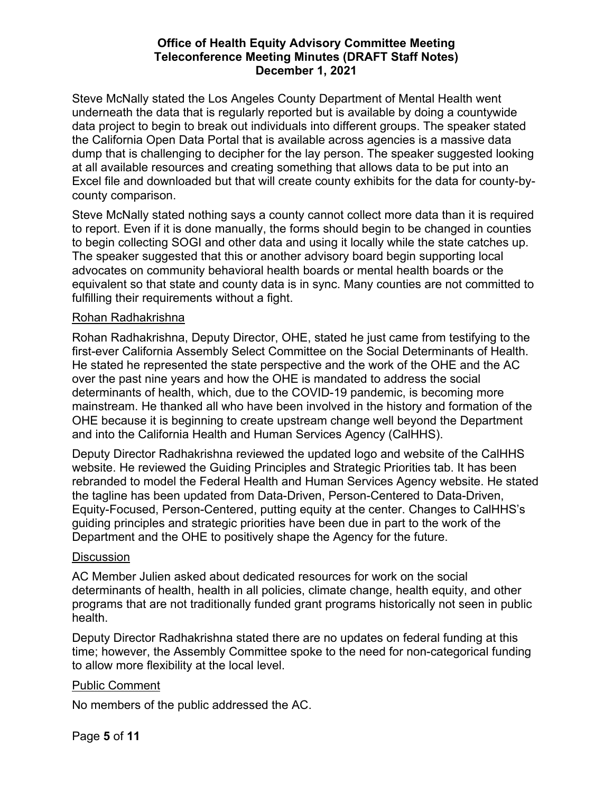Steve McNally stated the Los Angeles County Department of Mental Health went underneath the data that is regularly reported but is available by doing a countywide data project to begin to break out individuals into different groups. The speaker stated the California Open Data Portal that is available across agencies is a massive data dump that is challenging to decipher for the lay person. The speaker suggested looking at all available resources and creating something that allows data to be put into an Excel file and downloaded but that will create county exhibits for the data for county-bycounty comparison.

Steve McNally stated nothing says a county cannot collect more data than it is required to report. Even if it is done manually, the forms should begin to be changed in counties to begin collecting SOGI and other data and using it locally while the state catches up. The speaker suggested that this or another advisory board begin supporting local advocates on community behavioral health boards or mental health boards or the equivalent so that state and county data is in sync. Many counties are not committed to fulfilling their requirements without a fight.

## Rohan Radhakrishna

Rohan Radhakrishna, Deputy Director, OHE, stated he just came from testifying to the first-ever California Assembly Select Committee on the Social Determinants of Health. He stated he represented the state perspective and the work of the OHE and the AC over the past nine years and how the OHE is mandated to address the social determinants of health, which, due to the COVID-19 pandemic, is becoming more mainstream. He thanked all who have been involved in the history and formation of the OHE because it is beginning to create upstream change well beyond the Department and into the California Health and Human Services Agency (CalHHS).

Deputy Director Radhakrishna reviewed the updated logo and website of the CalHHS website. He reviewed the Guiding Principles and Strategic Priorities tab. It has been rebranded to model the Federal Health and Human Services Agency website. He stated the tagline has been updated from Data-Driven, Person-Centered to Data-Driven, Equity-Focused, Person-Centered, putting equity at the center. Changes to CalHHS's guiding principles and strategic priorities have been due in part to the work of the Department and the OHE to positively shape the Agency for the future.

## **Discussion**

AC Member Julien asked about dedicated resources for work on the social determinants of health, health in all policies, climate change, health equity, and other programs that are not traditionally funded grant programs historically not seen in public health.

Deputy Director Radhakrishna stated there are no updates on federal funding at this time; however, the Assembly Committee spoke to the need for non-categorical funding to allow more flexibility at the local level.

## Public Comment

No members of the public addressed the AC.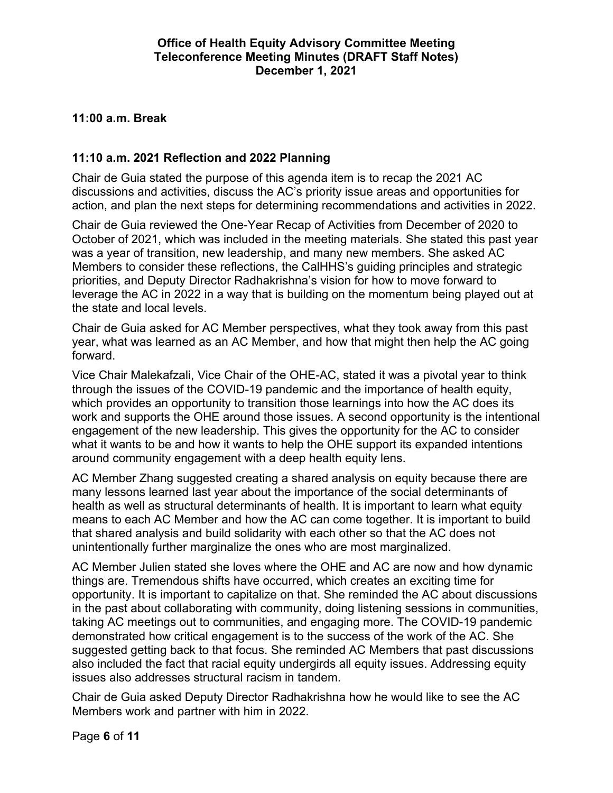## **11:00 a.m. Break**

## **11:10 a.m. 2021 Reflection and 2022 Planning**

Chair de Guia stated the purpose of this agenda item is to recap the 2021 AC discussions and activities, discuss the AC's priority issue areas and opportunities for action, and plan the next steps for determining recommendations and activities in 2022.

Chair de Guia reviewed the One-Year Recap of Activities from December of 2020 to October of 2021, which was included in the meeting materials. She stated this past year was a year of transition, new leadership, and many new members. She asked AC Members to consider these reflections, the CalHHS's guiding principles and strategic priorities, and Deputy Director Radhakrishna's vision for how to move forward to leverage the AC in 2022 in a way that is building on the momentum being played out at the state and local levels.

Chair de Guia asked for AC Member perspectives, what they took away from this past year, what was learned as an AC Member, and how that might then help the AC going forward.

Vice Chair Malekafzali, Vice Chair of the OHE-AC, stated it was a pivotal year to think through the issues of the COVID-19 pandemic and the importance of health equity, which provides an opportunity to transition those learnings into how the AC does its work and supports the OHE around those issues. A second opportunity is the intentional engagement of the new leadership. This gives the opportunity for the AC to consider what it wants to be and how it wants to help the OHE support its expanded intentions around community engagement with a deep health equity lens.

AC Member Zhang suggested creating a shared analysis on equity because there are many lessons learned last year about the importance of the social determinants of health as well as structural determinants of health. It is important to learn what equity means to each AC Member and how the AC can come together. It is important to build that shared analysis and build solidarity with each other so that the AC does not unintentionally further marginalize the ones who are most marginalized.

AC Member Julien stated she loves where the OHE and AC are now and how dynamic things are. Tremendous shifts have occurred, which creates an exciting time for opportunity. It is important to capitalize on that. She reminded the AC about discussions in the past about collaborating with community, doing listening sessions in communities, taking AC meetings out to communities, and engaging more. The COVID-19 pandemic demonstrated how critical engagement is to the success of the work of the AC. She suggested getting back to that focus. She reminded AC Members that past discussions also included the fact that racial equity undergirds all equity issues. Addressing equity issues also addresses structural racism in tandem.

Chair de Guia asked Deputy Director Radhakrishna how he would like to see the AC Members work and partner with him in 2022.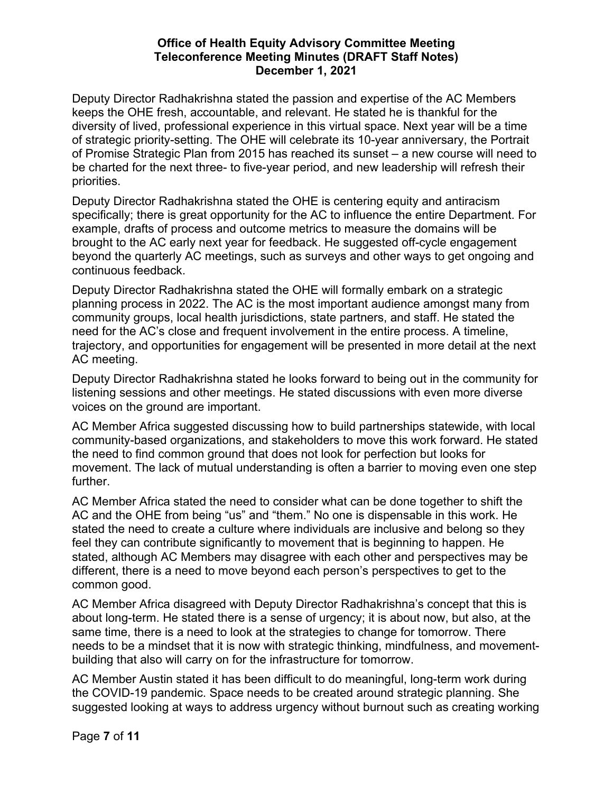Deputy Director Radhakrishna stated the passion and expertise of the AC Members keeps the OHE fresh, accountable, and relevant. He stated he is thankful for the diversity of lived, professional experience in this virtual space. Next year will be a time of strategic priority-setting. The OHE will celebrate its 10-year anniversary, the Portrait of Promise Strategic Plan from 2015 has reached its sunset – a new course will need to be charted for the next three- to five-year period, and new leadership will refresh their priorities.

Deputy Director Radhakrishna stated the OHE is centering equity and antiracism specifically; there is great opportunity for the AC to influence the entire Department. For example, drafts of process and outcome metrics to measure the domains will be brought to the AC early next year for feedback. He suggested off-cycle engagement beyond the quarterly AC meetings, such as surveys and other ways to get ongoing and continuous feedback.

Deputy Director Radhakrishna stated the OHE will formally embark on a strategic planning process in 2022. The AC is the most important audience amongst many from community groups, local health jurisdictions, state partners, and staff. He stated the need for the AC's close and frequent involvement in the entire process. A timeline, trajectory, and opportunities for engagement will be presented in more detail at the next AC meeting.

Deputy Director Radhakrishna stated he looks forward to being out in the community for listening sessions and other meetings. He stated discussions with even more diverse voices on the ground are important.

AC Member Africa suggested discussing how to build partnerships statewide, with local community-based organizations, and stakeholders to move this work forward. He stated the need to find common ground that does not look for perfection but looks for movement. The lack of mutual understanding is often a barrier to moving even one step further.

AC Member Africa stated the need to consider what can be done together to shift the AC and the OHE from being "us" and "them." No one is dispensable in this work. He stated the need to create a culture where individuals are inclusive and belong so they feel they can contribute significantly to movement that is beginning to happen. He stated, although AC Members may disagree with each other and perspectives may be different, there is a need to move beyond each person's perspectives to get to the common good.

AC Member Africa disagreed with Deputy Director Radhakrishna's concept that this is about long-term. He stated there is a sense of urgency; it is about now, but also, at the same time, there is a need to look at the strategies to change for tomorrow. There needs to be a mindset that it is now with strategic thinking, mindfulness, and movementbuilding that also will carry on for the infrastructure for tomorrow.

AC Member Austin stated it has been difficult to do meaningful, long-term work during the COVID-19 pandemic. Space needs to be created around strategic planning. She suggested looking at ways to address urgency without burnout such as creating working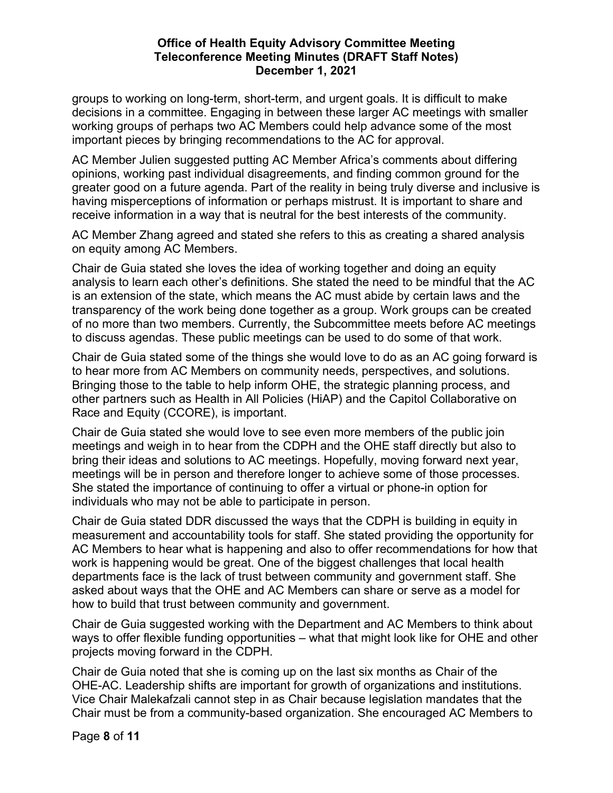groups to working on long-term, short-term, and urgent goals. It is difficult to make decisions in a committee. Engaging in between these larger AC meetings with smaller working groups of perhaps two AC Members could help advance some of the most important pieces by bringing recommendations to the AC for approval.

AC Member Julien suggested putting AC Member Africa's comments about differing opinions, working past individual disagreements, and finding common ground for the greater good on a future agenda. Part of the reality in being truly diverse and inclusive is having misperceptions of information or perhaps mistrust. It is important to share and receive information in a way that is neutral for the best interests of the community.

AC Member Zhang agreed and stated she refers to this as creating a shared analysis on equity among AC Members.

Chair de Guia stated she loves the idea of working together and doing an equity analysis to learn each other's definitions. She stated the need to be mindful that the AC is an extension of the state, which means the AC must abide by certain laws and the transparency of the work being done together as a group. Work groups can be created of no more than two members. Currently, the Subcommittee meets before AC meetings to discuss agendas. These public meetings can be used to do some of that work.

Chair de Guia stated some of the things she would love to do as an AC going forward is to hear more from AC Members on community needs, perspectives, and solutions. Bringing those to the table to help inform OHE, the strategic planning process, and other partners such as Health in All Policies (HiAP) and the Capitol Collaborative on Race and Equity (CCORE), is important.

Chair de Guia stated she would love to see even more members of the public join meetings and weigh in to hear from the CDPH and the OHE staff directly but also to bring their ideas and solutions to AC meetings. Hopefully, moving forward next year, meetings will be in person and therefore longer to achieve some of those processes. She stated the importance of continuing to offer a virtual or phone-in option for individuals who may not be able to participate in person.

Chair de Guia stated DDR discussed the ways that the CDPH is building in equity in measurement and accountability tools for staff. She stated providing the opportunity for AC Members to hear what is happening and also to offer recommendations for how that work is happening would be great. One of the biggest challenges that local health departments face is the lack of trust between community and government staff. She asked about ways that the OHE and AC Members can share or serve as a model for how to build that trust between community and government.

Chair de Guia suggested working with the Department and AC Members to think about ways to offer flexible funding opportunities – what that might look like for OHE and other projects moving forward in the CDPH.

Chair de Guia noted that she is coming up on the last six months as Chair of the OHE-AC. Leadership shifts are important for growth of organizations and institutions. Vice Chair Malekafzali cannot step in as Chair because legislation mandates that the Chair must be from a community-based organization. She encouraged AC Members to

Page **8** of **11**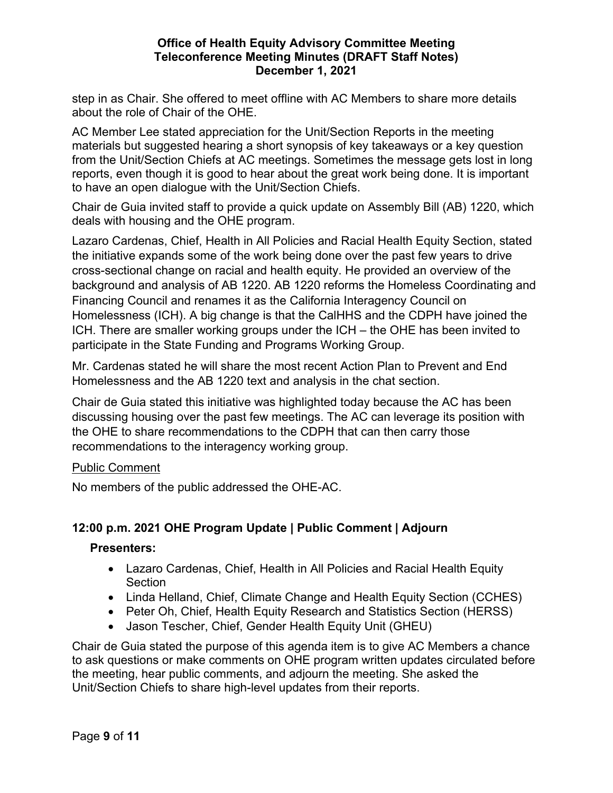step in as Chair. She offered to meet offline with AC Members to share more details about the role of Chair of the OHE.

AC Member Lee stated appreciation for the Unit/Section Reports in the meeting materials but suggested hearing a short synopsis of key takeaways or a key question from the Unit/Section Chiefs at AC meetings. Sometimes the message gets lost in long reports, even though it is good to hear about the great work being done. It is important to have an open dialogue with the Unit/Section Chiefs.

Chair de Guia invited staff to provide a quick update on Assembly Bill (AB) 1220, which deals with housing and the OHE program.

Lazaro Cardenas, Chief, Health in All Policies and Racial Health Equity Section, stated the initiative expands some of the work being done over the past few years to drive cross-sectional change on racial and health equity. He provided an overview of the background and analysis of AB 1220. AB 1220 reforms the Homeless Coordinating and Financing Council and renames it as the California Interagency Council on Homelessness (ICH). A big change is that the CalHHS and the CDPH have joined the ICH. There are smaller working groups under the ICH – the OHE has been invited to participate in the State Funding and Programs Working Group.

Mr. Cardenas stated he will share the most recent Action Plan to Prevent and End Homelessness and the AB 1220 text and analysis in the chat section.

Chair de Guia stated this initiative was highlighted today because the AC has been discussing housing over the past few meetings. The AC can leverage its position with the OHE to share recommendations to the CDPH that can then carry those recommendations to the interagency working group.

## Public Comment

No members of the public addressed the OHE-AC.

# **12:00 p.m. 2021 OHE Program Update | Public Comment | Adjourn**

## **Presenters:**

- Lazaro Cardenas, Chief, Health in All Policies and Racial Health Equity Section
- Linda Helland, Chief, Climate Change and Health Equity Section (CCHES)
- Peter Oh, Chief, Health Equity Research and Statistics Section (HERSS)
- Jason Tescher, Chief, Gender Health Equity Unit (GHEU)

Chair de Guia stated the purpose of this agenda item is to give AC Members a chance to ask questions or make comments on OHE program written updates circulated before the meeting, hear public comments, and adjourn the meeting. She asked the Unit/Section Chiefs to share high-level updates from their reports.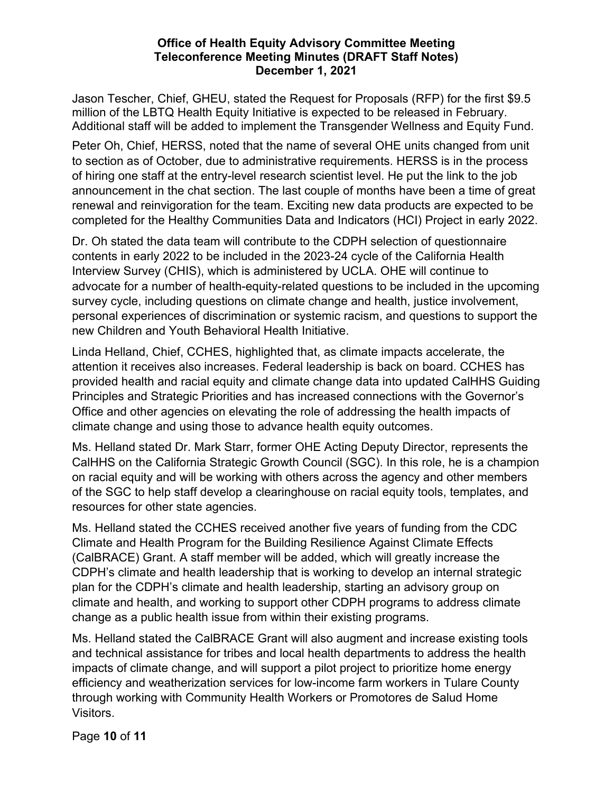Jason Tescher, Chief, GHEU, stated the Request for Proposals (RFP) for the first \$9.5 million of the LBTQ Health Equity Initiative is expected to be released in February. Additional staff will be added to implement the Transgender Wellness and Equity Fund.

Peter Oh, Chief, HERSS, noted that the name of several OHE units changed from unit to section as of October, due to administrative requirements. HERSS is in the process of hiring one staff at the entry-level research scientist level. He put the link to the job announcement in the chat section. The last couple of months have been a time of great renewal and reinvigoration for the team. Exciting new data products are expected to be completed for the Healthy Communities Data and Indicators (HCI) Project in early 2022.

Dr. Oh stated the data team will contribute to the CDPH selection of questionnaire contents in early 2022 to be included in the 2023-24 cycle of the California Health Interview Survey (CHIS), which is administered by UCLA. OHE will continue to advocate for a number of health-equity-related questions to be included in the upcoming survey cycle, including questions on climate change and health, justice involvement, personal experiences of discrimination or systemic racism, and questions to support the new Children and Youth Behavioral Health Initiative.

Linda Helland, Chief, CCHES, highlighted that, as climate impacts accelerate, the attention it receives also increases. Federal leadership is back on board. CCHES has provided health and racial equity and climate change data into updated CalHHS Guiding Principles and Strategic Priorities and has increased connections with the Governor's Office and other agencies on elevating the role of addressing the health impacts of climate change and using those to advance health equity outcomes.

Ms. Helland stated Dr. Mark Starr, former OHE Acting Deputy Director, represents the CalHHS on the California Strategic Growth Council (SGC). In this role, he is a champion on racial equity and will be working with others across the agency and other members of the SGC to help staff develop a clearinghouse on racial equity tools, templates, and resources for other state agencies.

Ms. Helland stated the CCHES received another five years of funding from the CDC Climate and Health Program for the Building Resilience Against Climate Effects (CalBRACE) Grant. A staff member will be added, which will greatly increase the CDPH's climate and health leadership that is working to develop an internal strategic plan for the CDPH's climate and health leadership, starting an advisory group on climate and health, and working to support other CDPH programs to address climate change as a public health issue from within their existing programs.

Ms. Helland stated the CalBRACE Grant will also augment and increase existing tools and technical assistance for tribes and local health departments to address the health impacts of climate change, and will support a pilot project to prioritize home energy efficiency and weatherization services for low-income farm workers in Tulare County through working with Community Health Workers or Promotores de Salud Home Visitors.

Page **10** of **11**